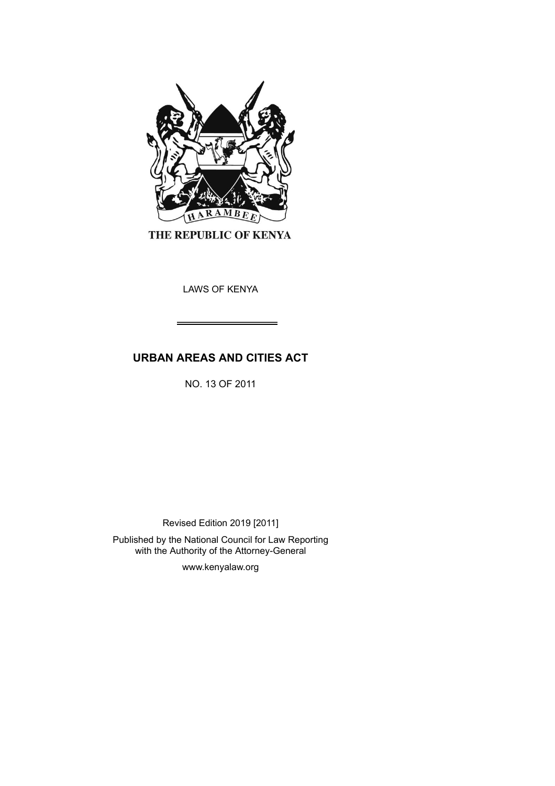

THE REPUBLIC OF KENYA

LAWS OF KENYA

# **URBAN AREAS AND CITIES ACT**

NO. 13 OF 2011

Revised Edition 2019 [2011]

Published by the National Council for Law Reporting with the Authority of the Attorney-General

www.kenyalaw.org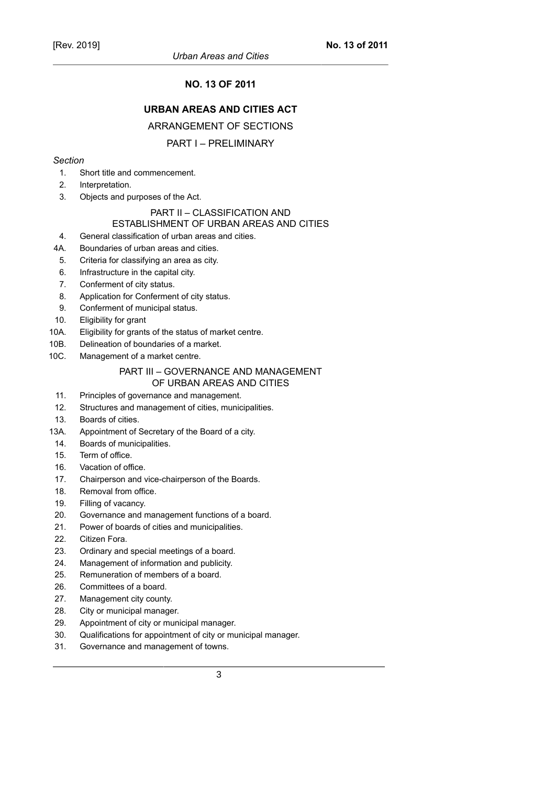# **NO. 13 OF 2011**

# **URBAN AREAS AND CITIES ACT**

ARRANGEMENT OF SECTIONS

# PART I – PRELIMINARY

# *Section*

- 1. Short title and commencement.
- 2. Interpretation.
- 3. Objects and purposes of the Act.

# PART II – CLASSIFICATION AND

# ESTABLISHMENT OF URBAN AREAS AND CITIES

- 4. General classification of urban areas and cities.
- 4A. Boundaries of urban areas and cities.
- 5. Criteria for classifying an area as city.
- 6. Infrastructure in the capital city.
- 7. Conferment of city status.
- 8. Application for Conferment of city status.
- 9. Conferment of municipal status.
- 10. Eligibility for grant
- 10A. Eligibility for grants of the status of market centre.
- 10B. Delineation of boundaries of a market.
- 10C. Management of a market centre.

#### PART III – GOVERNANCE AND MANAGEMENT OF URBAN AREAS AND CITIES

- 11. Principles of governance and management.
- 12. Structures and management of cities, municipalities.
- 13. Boards of cities.
- 13A. Appointment of Secretary of the Board of a city.
- 14. Boards of municipalities.
- 15. Term of office.
- 16. Vacation of office.
- 17. Chairperson and vice-chairperson of the Boards.
- 18. Removal from office.
- 19. Filling of vacancy.
- 20. Governance and management functions of a board.
- 21. Power of boards of cities and municipalities.
- 22. Citizen Fora.
- 23. Ordinary and special meetings of a board.
- 24. Management of information and publicity.
- 25. Remuneration of members of a board.
- 26. Committees of a board.
- 27. Management city county.
- 28. City or municipal manager.
- 29. Appointment of city or municipal manager.
- 30. Qualifications for appointment of city or municipal manager.
- 31. Governance and management of towns.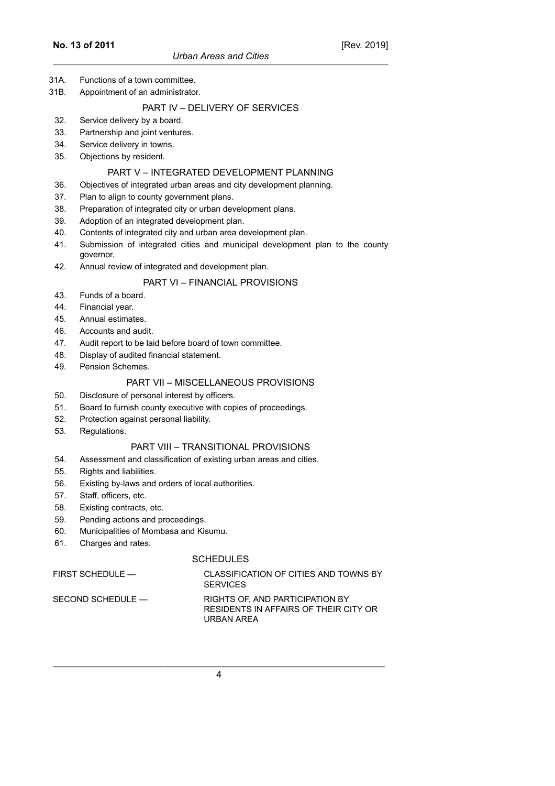- 31A. Functions of a town committee.
- 31B. Appointment of an administrator.

## PART IV – DELIVERY OF SERVICES

- 32. Service delivery by a board.
- 33. Partnership and joint ventures.
- 34. Service delivery in towns.
- 35. Objections by resident.

#### PART V – INTEGRATED DEVELOPMENT PLANNING

- 36. Objectives of integrated urban areas and city development planning.
- 37. Plan to align to county government plans.
- 38. Preparation of integrated city or urban development plans.
- 39. Adoption of an integrated development plan.
- 40. Contents of integrated city and urban area development plan.
- 41. Submission of integrated cities and municipal development plan to the county governor.
- 42. Annual review of integrated and development plan.

## PART VI – FINANCIAL PROVISIONS

- 43. Funds of a board.
- 44. Financial year.
- 45. Annual estimates.
- 46. Accounts and audit.
- 47. Audit report to be laid before board of town committee.
- 48. Display of audited financial statement.
- 49. Pension Schemes.

# PART VII – MISCELLANEOUS PROVISIONS

- 50. Disclosure of personal interest by officers.
- 51. Board to furnish county executive with copies of proceedings.
- 52. Protection against personal liability.
- 53. Regulations.

# PART VIII – TRANSITIONAL PROVISIONS

- 54. Assessment and classification of existing urban areas and cities.
- 55. Rights and liabilities.
- 56. Existing by-laws and orders of local authorities.
- 57. Staff, officers, etc.
- 58. Existing contracts, etc.
- 59. Pending actions and proceedings.
- 60. Municipalities of Mombasa and Kisumu.
- 61. Charges and rates.

#### **SCHEDULES**

| FIRST SCHEDULE —  | CLASSIFICATION OF CITIES AND TOWNS BY<br><b>SERVICES</b>                               |
|-------------------|----------------------------------------------------------------------------------------|
| SECOND SCHEDULE — | RIGHTS OF, AND PARTICIPATION BY<br>RESIDENTS IN AFFAIRS OF THEIR CITY OR<br>URBAN AREA |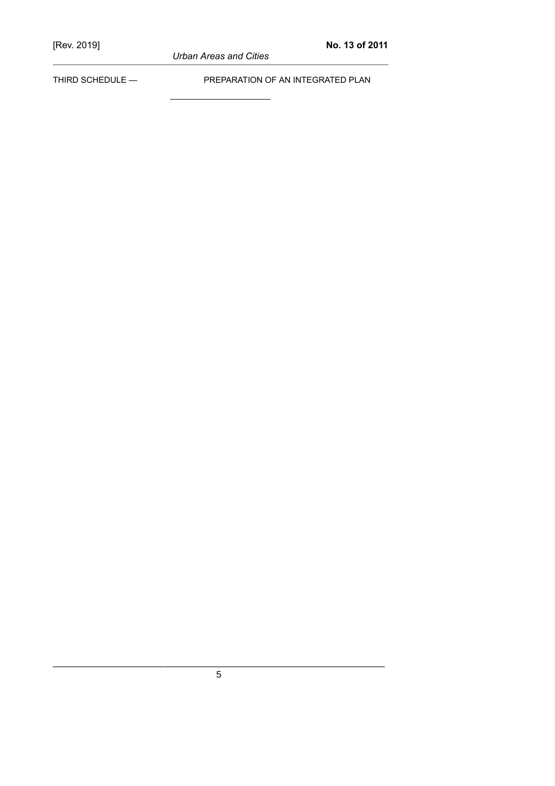*Urban Areas and Cities*

THIRD SCHEDULE — PREPARATION OF AN INTEGRATED PLAN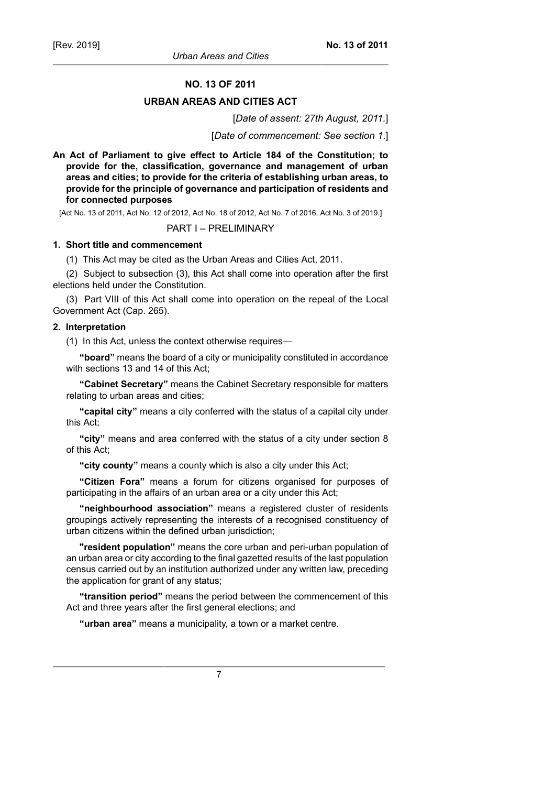#### **NO. 13 OF 2011**

#### **URBAN AREAS AND CITIES ACT**

[*Date of assent: 27th August, 2011.*]

[*Date of commencement: See section 1*.]

**An Act of Parliament to give effect to Article 184 of the Constitution; to provide for the, classification, governance and management of urban areas and cities; to provide for the criteria of establishing urban areas, to provide for the principle of governance and participation of residents and for connected purposes**

[Act No. 13 of 2011, Act No. 12 of 2012, Act No. 18 of 2012, Act No. 7 of 2016, Act No. 3 of 2019.]

#### PART I – PRELIMINARY

#### **1. Short title and commencement**

(1) This Act may be cited as the Urban Areas and Cities Act, 2011.

(2) Subject to subsection (3), this Act shall come into operation after the first elections held under the Constitution.

(3) Part VIII of this Act shall come into operation on the repeal of the Local Government Act (Cap. 265).

#### **2. Interpretation**

(1) In this Act, unless the context otherwise requires—

**"board"** means the board of a city or municipality constituted in accordance with sections 13 and 14 of this Act;

**"Cabinet Secretary"** means the Cabinet Secretary responsible for matters relating to urban areas and cities;

**"capital city"** means a city conferred with the status of a capital city under this Act;

**"city"** means and area conferred with the status of a city under section 8 of this Act;

**"city county"** means a county which is also a city under this Act;

**"Citizen Fora"** means a forum for citizens organised for purposes of participating in the affairs of an urban area or a city under this Act;

**"neighbourhood association"** means a registered cluster of residents groupings actively representing the interests of a recognised constituency of urban citizens within the defined urban jurisdiction;

**"resident population"** means the core urban and peri-urban population of an urban area or city according to the final gazetted results of the last population census carried out by an institution authorized under any written law, preceding the application for grant of any status;

**"transition period"** means the period between the commencement of this Act and three years after the first general elections; and

**"urban area"** means a municipality, a town or a market centre.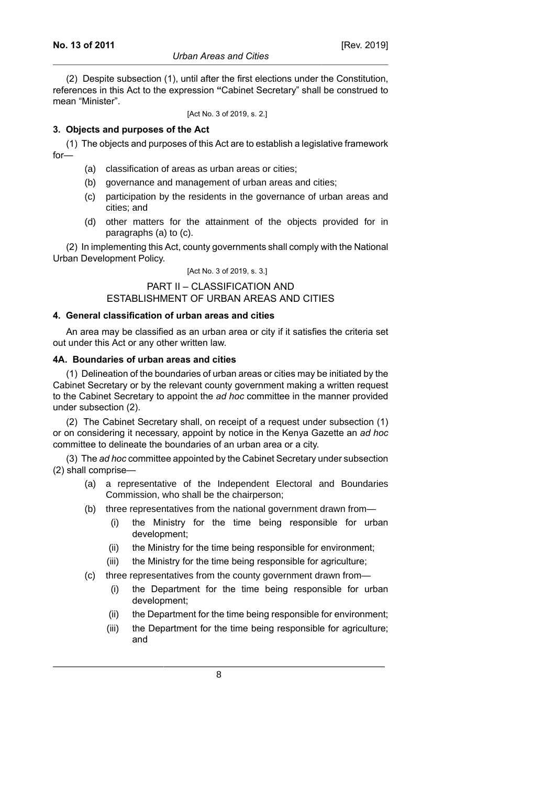#### *Urban Areas and Cities*

[Rev. 2019]

(2) Despite subsection (1), until after the first elections under the Constitution, references in this Act to the expression **"**Cabinet Secretary" shall be construed to mean "Minister".

[Act No. 3 of 2019, s. 2.]

# **3. Objects and purposes of the Act**

(1) The objects and purposes of this Act are to establish a legislative framework for—

- (a) classification of areas as urban areas or cities;
- (b) governance and management of urban areas and cities;
- (c) participation by the residents in the governance of urban areas and cities; and
- (d) other matters for the attainment of the objects provided for in paragraphs (a) to (c).

(2) In implementing this Act, county governments shall comply with the National Urban Development Policy.

[Act No. 3 of 2019, s. 3.]

#### PART II – CLASSIFICATION AND ESTABLISHMENT OF URBAN AREAS AND CITIES

# **4. General classification of urban areas and cities**

An area may be classified as an urban area or city if it satisfies the criteria set out under this Act or any other written law.

## **4A. Boundaries of urban areas and cities**

(1) Delineation of the boundaries of urban areas or cities may be initiated by the Cabinet Secretary or by the relevant county government making a written request to the Cabinet Secretary to appoint the *ad hoc* committee in the manner provided under subsection (2).

(2) The Cabinet Secretary shall, on receipt of a request under subsection (1) or on considering it necessary, appoint by notice in the Kenya Gazette an *ad hoc* committee to delineate the boundaries of an urban area or a city.

(3) The *ad hoc* committee appointed by the Cabinet Secretary under subsection (2) shall comprise—

- (a) a representative of the Independent Electoral and Boundaries Commission, who shall be the chairperson;
- (b) three representatives from the national government drawn from—
	- (i) the Ministry for the time being responsible for urban development;
	- (ii) the Ministry for the time being responsible for environment;
	- (iii) the Ministry for the time being responsible for agriculture;
- (c) three representatives from the county government drawn from—
	- (i) the Department for the time being responsible for urban development;
	- (ii) the Department for the time being responsible for environment;
	- (iii) the Department for the time being responsible for agriculture; and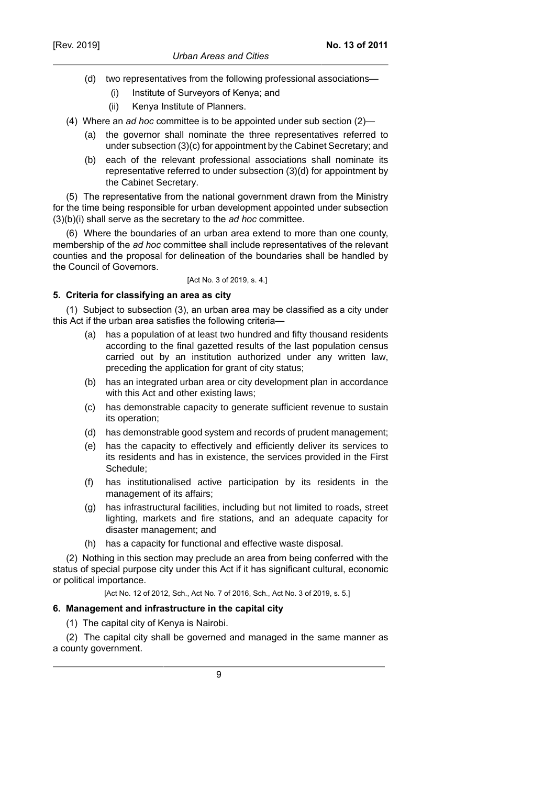- (d) two representatives from the following professional associations—
	- (i) Institute of Surveyors of Kenya; and
	- (ii) Kenya Institute of Planners.
- (4) Where an *ad hoc* committee is to be appointed under sub section (2)—
	- (a) the governor shall nominate the three representatives referred to under subsection (3)(c) for appointment by the Cabinet Secretary; and
	- (b) each of the relevant professional associations shall nominate its representative referred to under subsection (3)(d) for appointment by the Cabinet Secretary.

(5) The representative from the national government drawn from the Ministry for the time being responsible for urban development appointed under subsection (3)(b)(i) shall serve as the secretary to the *ad hoc* committee.

(6) Where the boundaries of an urban area extend to more than one county, membership of the *ad hoc* committee shall include representatives of the relevant counties and the proposal for delineation of the boundaries shall be handled by the Council of Governors.

#### [Act No. 3 of 2019, s. 4.]

# **5. Criteria for classifying an area as city**

(1) Subject to subsection (3), an urban area may be classified as a city under this Act if the urban area satisfies the following criteria—

- (a) has a population of at least two hundred and fifty thousand residents according to the final gazetted results of the last population census carried out by an institution authorized under any written law, preceding the application for grant of city status;
- (b) has an integrated urban area or city development plan in accordance with this Act and other existing laws;
- (c) has demonstrable capacity to generate sufficient revenue to sustain its operation;
- (d) has demonstrable good system and records of prudent management;
- (e) has the capacity to effectively and efficiently deliver its services to its residents and has in existence, the services provided in the First Schedule;
- (f) has institutionalised active participation by its residents in the management of its affairs;
- (g) has infrastructural facilities, including but not limited to roads, street lighting, markets and fire stations, and an adequate capacity for disaster management; and
- (h) has a capacity for functional and effective waste disposal.

(2) Nothing in this section may preclude an area from being conferred with the status of special purpose city under this Act if it has significant cultural, economic or political importance.

[Act No. 12 of 2012, Sch., Act No. 7 of 2016, Sch., Act No. 3 of 2019, s. 5.]

# **6. Management and infrastructure in the capital city**

(1) The capital city of Kenya is Nairobi.

(2) The capital city shall be governed and managed in the same manner as a county government.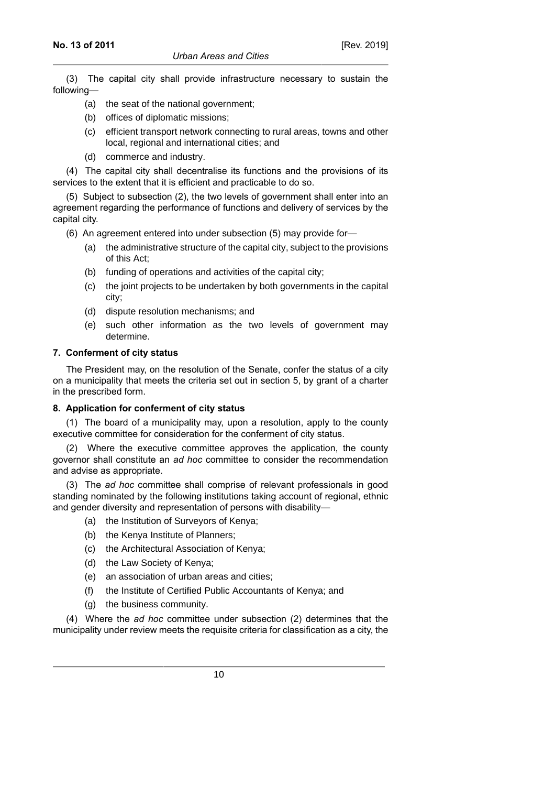(3) The capital city shall provide infrastructure necessary to sustain the following—

- (a) the seat of the national government;
- (b) offices of diplomatic missions;
- (c) efficient transport network connecting to rural areas, towns and other local, regional and international cities; and
- (d) commerce and industry.

(4) The capital city shall decentralise its functions and the provisions of its services to the extent that it is efficient and practicable to do so.

(5) Subject to subsection (2), the two levels of government shall enter into an agreement regarding the performance of functions and delivery of services by the capital city.

(6) An agreement entered into under subsection (5) may provide for—

- (a) the administrative structure of the capital city, subject to the provisions of this Act;
- (b) funding of operations and activities of the capital city;
- (c) the joint projects to be undertaken by both governments in the capital city;
- (d) dispute resolution mechanisms; and
- (e) such other information as the two levels of government may determine.

## **7. Conferment of city status**

The President may, on the resolution of the Senate, confer the status of a city on a municipality that meets the criteria set out in section 5, by grant of a charter in the prescribed form.

# **8. Application for conferment of city status**

(1) The board of a municipality may, upon a resolution, apply to the county executive committee for consideration for the conferment of city status.

(2) Where the executive committee approves the application, the county governor shall constitute an *ad hoc* committee to consider the recommendation and advise as appropriate.

(3) The *ad hoc* committee shall comprise of relevant professionals in good standing nominated by the following institutions taking account of regional, ethnic and gender diversity and representation of persons with disability—

- (a) the Institution of Surveyors of Kenya;
- (b) the Kenya Institute of Planners;
- (c) the Architectural Association of Kenya;
- (d) the Law Society of Kenya;
- (e) an association of urban areas and cities;
- (f) the Institute of Certified Public Accountants of Kenya; and
- (g) the business community.

(4) Where the *ad hoc* committee under subsection (2) determines that the municipality under review meets the requisite criteria for classification as a city, the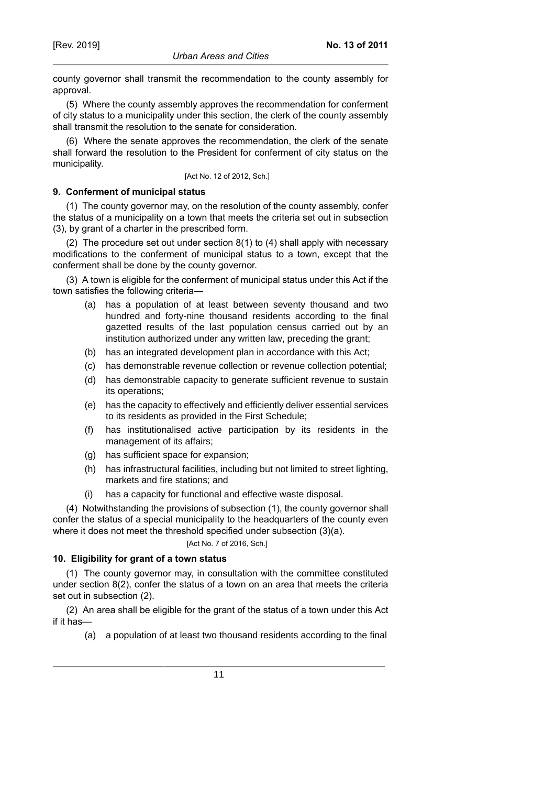county governor shall transmit the recommendation to the county assembly for approval.

(5) Where the county assembly approves the recommendation for conferment of city status to a municipality under this section, the clerk of the county assembly shall transmit the resolution to the senate for consideration.

(6) Where the senate approves the recommendation, the clerk of the senate shall forward the resolution to the President for conferment of city status on the municipality.

[Act No. 12 of 2012, Sch.]

# **9. Conferment of municipal status**

(1) The county governor may, on the resolution of the county assembly, confer the status of a municipality on a town that meets the criteria set out in subsection (3), by grant of a charter in the prescribed form.

(2) The procedure set out under section 8(1) to (4) shall apply with necessary modifications to the conferment of municipal status to a town, except that the conferment shall be done by the county governor.

(3) A town is eligible for the conferment of municipal status under this Act if the town satisfies the following criteria—

- (a) has a population of at least between seventy thousand and two hundred and forty-nine thousand residents according to the final gazetted results of the last population census carried out by an institution authorized under any written law, preceding the grant;
- (b) has an integrated development plan in accordance with this Act;
- (c) has demonstrable revenue collection or revenue collection potential;
- (d) has demonstrable capacity to generate sufficient revenue to sustain its operations;
- (e) has the capacity to effectively and efficiently deliver essential services to its residents as provided in the First Schedule;
- (f) has institutionalised active participation by its residents in the management of its affairs;
- (g) has sufficient space for expansion;
- (h) has infrastructural facilities, including but not limited to street lighting, markets and fire stations; and
- (i) has a capacity for functional and effective waste disposal.

(4) Notwithstanding the provisions of subsection (1), the county governor shall confer the status of a special municipality to the headquarters of the county even where it does not meet the threshold specified under subsection (3)(a).

#### [Act No. 7 of 2016, Sch.]

# **10. Eligibility for grant of a town status**

(1) The county governor may, in consultation with the committee constituted under section  $8(2)$ , confer the status of a town on an area that meets the criteria set out in subsection (2).

(2) An area shall be eligible for the grant of the status of a town under this Act if it has—

(a) a population of at least two thousand residents according to the final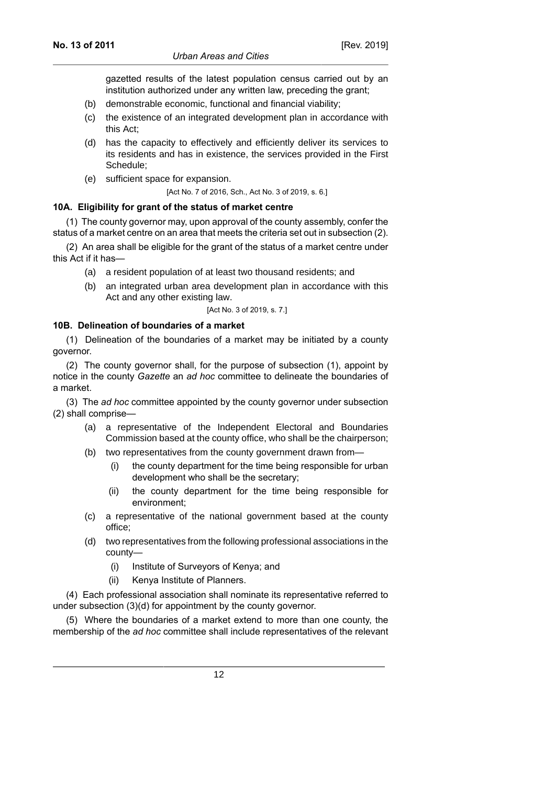[Rev. 2019]

gazetted results of the latest population census carried out by an institution authorized under any written law, preceding the grant;

- (b) demonstrable economic, functional and financial viability;
- (c) the existence of an integrated development plan in accordance with this Act;
- (d) has the capacity to effectively and efficiently deliver its services to its residents and has in existence, the services provided in the First Schedule;
- (e) sufficient space for expansion.

[Act No. 7 of 2016, Sch., Act No. 3 of 2019, s. 6.]

## **10A. Eligibility for grant of the status of market centre**

(1) The county governor may, upon approval of the county assembly, confer the status of a market centre on an area that meets the criteria set out in subsection (2).

(2) An area shall be eligible for the grant of the status of a market centre under this Act if it has—

- (a) a resident population of at least two thousand residents; and
- (b) an integrated urban area development plan in accordance with this Act and any other existing law.

[Act No. 3 of 2019, s. 7.]

## **10B. Delineation of boundaries of a market**

(1) Delineation of the boundaries of a market may be initiated by a county governor.

(2) The county governor shall, for the purpose of subsection (1), appoint by notice in the county *Gazette* an *ad hoc* committee to delineate the boundaries of a market.

(3) The *ad hoc* committee appointed by the county governor under subsection (2) shall comprise—

- (a) a representative of the Independent Electoral and Boundaries Commission based at the county office, who shall be the chairperson;
- (b) two representatives from the county government drawn from—
	- (i) the county department for the time being responsible for urban development who shall be the secretary;
	- (ii) the county department for the time being responsible for environment;
- (c) a representative of the national government based at the county office;
- (d) two representatives from the following professional associations in the county—
	- (i) Institute of Surveyors of Kenya; and
	- (ii) Kenya Institute of Planners.

(4) Each professional association shall nominate its representative referred to under subsection (3)(d) for appointment by the county governor.

(5) Where the boundaries of a market extend to more than one county, the membership of the *ad hoc* committee shall include representatives of the relevant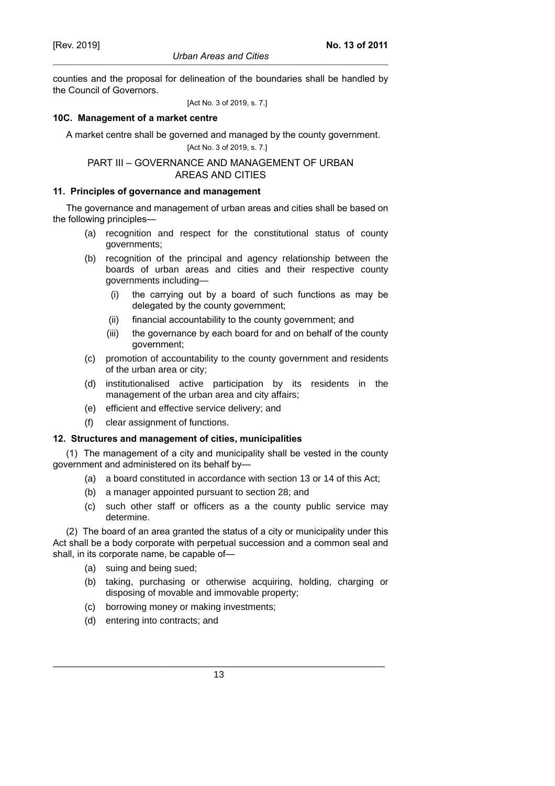counties and the proposal for delineation of the boundaries shall be handled by the Council of Governors.

[Act No. 3 of 2019, s. 7.]

# **10C. Management of a market centre**

A market centre shall be governed and managed by the county government.

[Act No. 3 of 2019, s. 7.]

# PART III – GOVERNANCE AND MANAGEMENT OF URBAN AREAS AND CITIES

# **11. Principles of governance and management**

The governance and management of urban areas and cities shall be based on the following principles—

- (a) recognition and respect for the constitutional status of county governments;
- (b) recognition of the principal and agency relationship between the boards of urban areas and cities and their respective county governments including—
	- (i) the carrying out by a board of such functions as may be delegated by the county government;
	- (ii) financial accountability to the county government; and
	- (iii) the governance by each board for and on behalf of the county government;
- (c) promotion of accountability to the county government and residents of the urban area or city;
- (d) institutionalised active participation by its residents in the management of the urban area and city affairs;
- (e) efficient and effective service delivery; and
- (f) clear assignment of functions.

# **12. Structures and management of cities, municipalities**

(1) The management of a city and municipality shall be vested in the county government and administered on its behalf by—

- (a) a board constituted in accordance with section 13 or 14 of this Act;
- (b) a manager appointed pursuant to section 28; and
- (c) such other staff or officers as a the county public service may determine.

(2) The board of an area granted the status of a city or municipality under this Act shall be a body corporate with perpetual succession and a common seal and shall, in its corporate name, be capable of—

- (a) suing and being sued;
- (b) taking, purchasing or otherwise acquiring, holding, charging or disposing of movable and immovable property;
- (c) borrowing money or making investments;
- (d) entering into contracts; and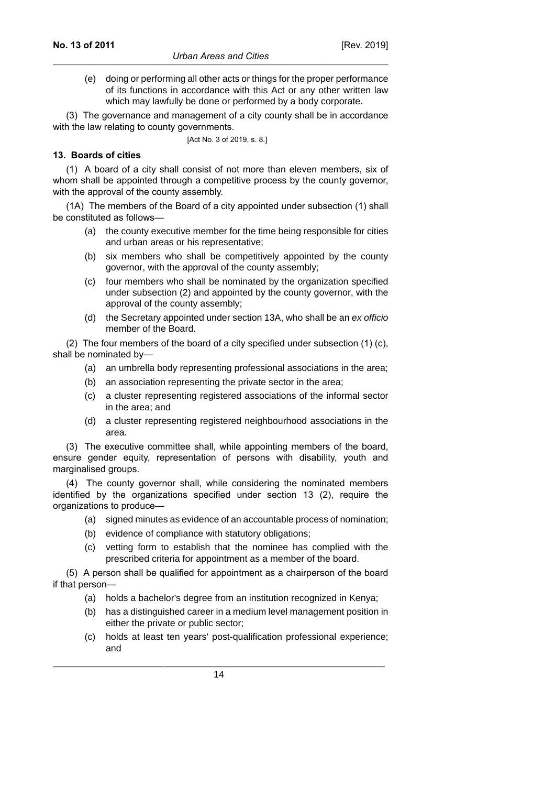(e) doing or performing all other acts or things for the proper performance of its functions in accordance with this Act or any other written law which may lawfully be done or performed by a body corporate.

(3) The governance and management of a city county shall be in accordance with the law relating to county governments.

[Act No. 3 of 2019, s. 8.]

# **13. Boards of cities**

(1) A board of a city shall consist of not more than eleven members, six of whom shall be appointed through a competitive process by the county governor, with the approval of the county assembly.

(1A) The members of the Board of a city appointed under subsection (1) shall be constituted as follows—

- (a) the county executive member for the time being responsible for cities and urban areas or his representative;
- (b) six members who shall be competitively appointed by the county governor, with the approval of the county assembly;
- (c) four members who shall be nominated by the organization specified under subsection (2) and appointed by the county governor, with the approval of the county assembly;
- (d) the Secretary appointed under section 13A, who shall be an ex officio member of the Board.

(2) The four members of the board of a city specified under subsection (1) (c), shall be nominated by—

- (a) an umbrella body representing professional associations in the area;
- (b) an association representing the private sector in the area;
- (c) a cluster representing registered associations of the informal sector in the area; and
- (d) a cluster representing registered neighbourhood associations in the area.

(3) The executive committee shall, while appointing members of the board, ensure gender equity, representation of persons with disability, youth and marginalised groups.

(4) The county governor shall, while considering the nominated members identified by the organizations specified under section 13 (2), require the organizations to produce—

- (a) signed minutes as evidence of an accountable process of nomination;
- (b) evidence of compliance with statutory obligations;
- (c) vetting form to establish that the nominee has complied with the prescribed criteria for appointment as a member of the board.

(5) A person shall be qualified for appointment as a chairperson of the board if that person—

- (a) holds a bachelor's degree from an institution recognized in Kenya;
- (b) has a distinguished career in a medium level management position in either the private or public sector;
- (c) holds at least ten years' post-qualification professional experience; and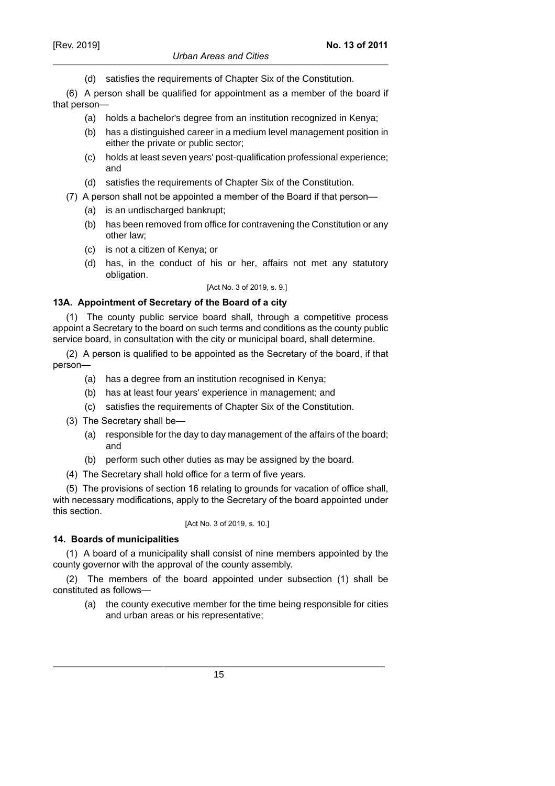(d) satisfies the requirements of Chapter Six of the Constitution.

(6) A person shall be qualified for appointment as a member of the board if that person—

- (a) holds a bachelor's degree from an institution recognized in Kenya;
- (b) has a distinguished career in a medium level management position in either the private or public sector;
- (c) holds at least seven years' post-qualification professional experience; and
- (d) satisfies the requirements of Chapter Six of the Constitution.
- (7) A person shall not be appointed a member of the Board if that person—
	- (a) is an undischarged bankrupt;
	- (b) has been removed from office for contravening the Constitution or any other law;
	- (c) is not a citizen of Kenya; or
	- (d) has, in the conduct of his or her, affairs not met any statutory obligation.

[Act No. 3 of 2019, s. 9.]

# **13A. Appointment of Secretary of the Board of a city**

(1) The county public service board shall, through a competitive process appoint a Secretary to the board on such terms and conditions as the county public service board, in consultation with the city or municipal board, shall determine.

(2) A person is qualified to be appointed as the Secretary of the board, if that person—

- (a) has a degree from an institution recognised in Kenya;
- (b) has at least four years' experience in management; and
- (c) satisfies the requirements of Chapter Six of the Constitution.
- (3) The Secretary shall be—
	- (a) responsible for the day to day management of the affairs of the board; and
	- (b) perform such other duties as may be assigned by the board.
- (4) The Secretary shall hold office for a term of five years.

(5) The provisions of section 16 relating to grounds for vacation of office shall, with necessary modifications, apply to the Secretary of the board appointed under this section.

# [Act No. 3 of 2019, s. 10.]

**14. Boards of municipalities** (1) A board of a municipality shall consist of nine members appointed by the

county governor with the approval of the county assembly. (2) The members of the board appointed under subsection (1) shall be constituted as follows—

(a) the county executive member for the time being responsible for cities and urban areas or his representative;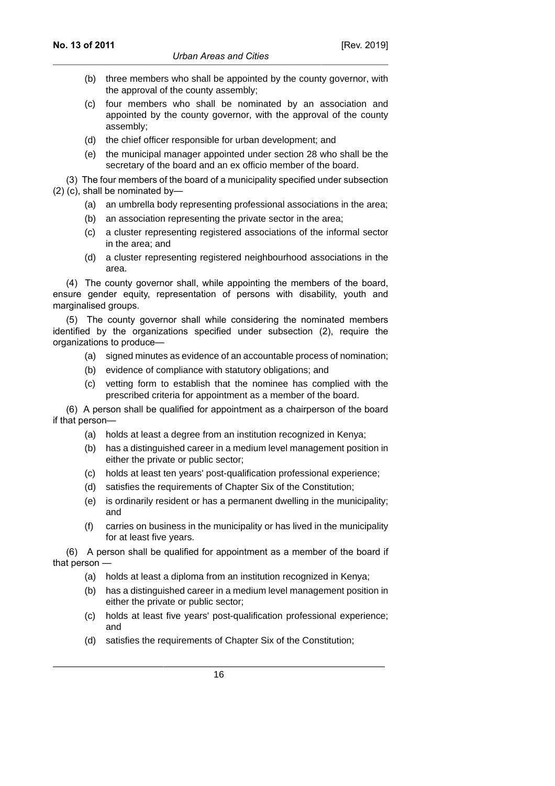- (b) three members who shall be appointed by the county governor, with the approval of the county assembly;
- (c) four members who shall be nominated by an association and appointed by the county governor, with the approval of the county assembly;
- (d) the chief officer responsible for urban development; and
- (e) the municipal manager appointed under section 28 who shall be the secretary of the board and an ex officio member of the board.

(3) The four members of the board of a municipality specified under subsection (2) (c), shall be nominated by—

- (a) an umbrella body representing professional associations in the area;
- (b) an association representing the private sector in the area;
- (c) a cluster representing registered associations of the informal sector in the area; and
- (d) a cluster representing registered neighbourhood associations in the area.

(4) The county governor shall, while appointing the members of the board, ensure gender equity, representation of persons with disability, youth and marginalised groups.

(5) The county governor shall while considering the nominated members identified by the organizations specified under subsection (2), require the organizations to produce—

- (a) signed minutes as evidence of an accountable process of nomination;
- (b) evidence of compliance with statutory obligations; and
- (c) vetting form to establish that the nominee has complied with the prescribed criteria for appointment as a member of the board.

(6) A person shall be qualified for appointment as a chairperson of the board if that person—

- (a) holds at least a degree from an institution recognized in Kenya;
- (b) has a distinguished career in a medium level management position in either the private or public sector;
- (c) holds at least ten years' post-qualification professional experience;
- (d) satisfies the requirements of Chapter Six of the Constitution;
- (e) is ordinarily resident or has a permanent dwelling in the municipality; and
- (f) carries on business in the municipality or has lived in the municipality for at least five years.

(6) A person shall be qualified for appointment as a member of the board if that person —

- (a) holds at least a diploma from an institution recognized in Kenya;
- (b) has a distinguished career in a medium level management position in either the private or public sector;
- (c) holds at least five years' post-qualification professional experience; and
- (d) satisfies the requirements of Chapter Six of the Constitution;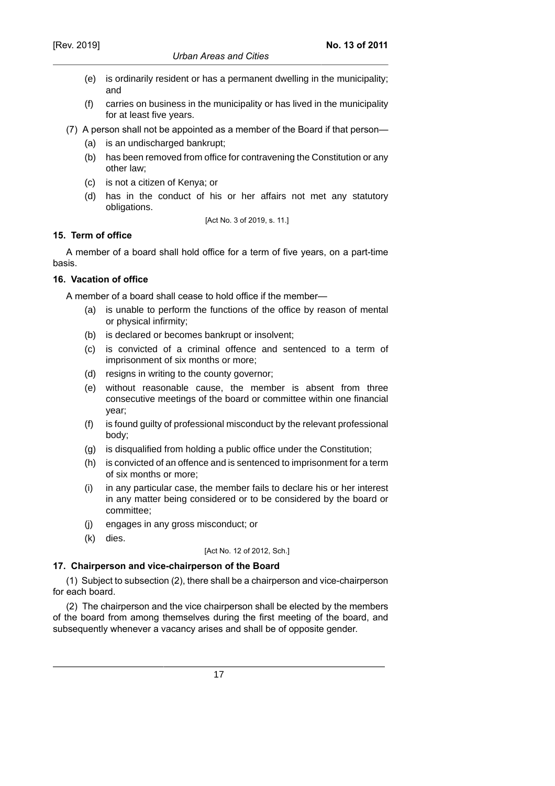- (e) is ordinarily resident or has a permanent dwelling in the municipality; and
- (f) carries on business in the municipality or has lived in the municipality for at least five years.
- (7) A person shall not be appointed as a member of the Board if that person—
	- (a) is an undischarged bankrupt;
	- (b) has been removed from office for contravening the Constitution or any other law;
	- (c) is not a citizen of Kenya; or
	- (d) has in the conduct of his or her affairs not met any statutory obligations.

[Act No. 3 of 2019, s. 11.]

## **15. Term of office**

A member of a board shall hold office for a term of five years, on a part-time basis.

## **16. Vacation of office**

A member of a board shall cease to hold office if the member—

- (a) is unable to perform the functions of the office by reason of mental or physical infirmity;
- (b) is declared or becomes bankrupt or insolvent;
- (c) is convicted of a criminal offence and sentenced to a term of imprisonment of six months or more;
- (d) resigns in writing to the county governor;
- (e) without reasonable cause, the member is absent from three consecutive meetings of the board or committee within one financial year;
- (f) is found guilty of professional misconduct by the relevant professional body;
- (g) is disqualified from holding a public office under the Constitution;
- (h) is convicted of an offence and is sentenced to imprisonment for a term of six months or more;
- (i) in any particular case, the member fails to declare his or her interest in any matter being considered or to be considered by the board or committee;
- (j) engages in any gross misconduct; or
- (k) dies.

#### [Act No. 12 of 2012, Sch.]

# **17. Chairperson and vice-chairperson of the Board**

(1) Subject to subsection (2), there shall be a chairperson and vice-chairperson for each board.

(2) The chairperson and the vice chairperson shall be elected by the members of the board from among themselves during the first meeting of the board, and subsequently whenever a vacancy arises and shall be of opposite gender.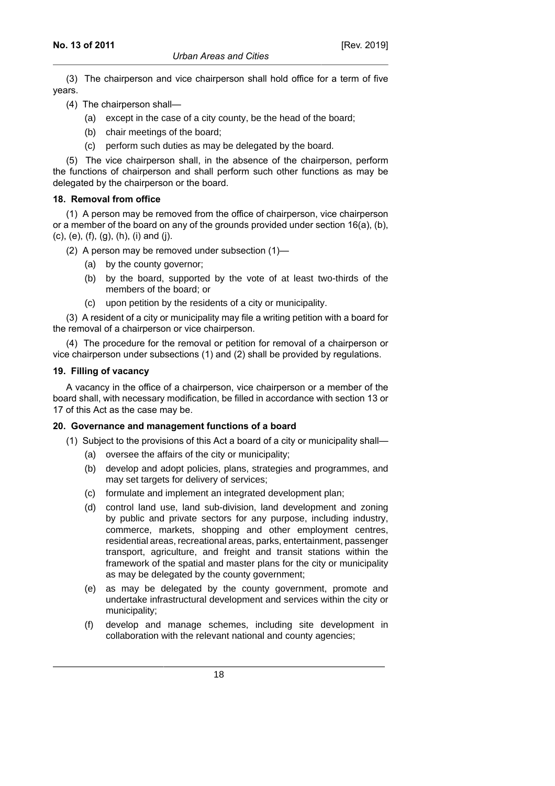(3) The chairperson and vice chairperson shall hold office for a term of five years.

- (4) The chairperson shall—
	- (a) except in the case of a city county, be the head of the board;
	- (b) chair meetings of the board;
	- (c) perform such duties as may be delegated by the board.

(5) The vice chairperson shall, in the absence of the chairperson, perform the functions of chairperson and shall perform such other functions as may be delegated by the chairperson or the board.

## **18. Removal from office**

(1) A person may be removed from the office of chairperson, vice chairperson or a member of the board on any of the grounds provided under section 16(a), (b), (c), (e), (f), (g), (h), (i) and (j).

- (2) A person may be removed under subsection (1)—
	- (a) by the county governor;
	- (b) by the board, supported by the vote of at least two-thirds of the members of the board; or
	- (c) upon petition by the residents of a city or municipality.

(3) A resident of a city or municipality may file a writing petition with a board for the removal of a chairperson or vice chairperson.

(4) The procedure for the removal or petition for removal of a chairperson or vice chairperson under subsections (1) and (2) shall be provided by regulations.

#### **19. Filling of vacancy**

A vacancy in the office of a chairperson, vice chairperson or a member of the board shall, with necessary modification, be filled in accordance with section 13 or 17 of this Act as the case may be.

#### **20. Governance and management functions of a board**

- (1) Subject to the provisions of this Act a board of a city or municipality shall—
	- (a) oversee the affairs of the city or municipality;
	- (b) develop and adopt policies, plans, strategies and programmes, and may set targets for delivery of services;
	- (c) formulate and implement an integrated development plan;
	- (d) control land use, land sub-division, land development and zoning by public and private sectors for any purpose, including industry, commerce, markets, shopping and other employment centres, residential areas, recreational areas, parks, entertainment, passenger transport, agriculture, and freight and transit stations within the framework of the spatial and master plans for the city or municipality as may be delegated by the county government;
	- (e) as may be delegated by the county government, promote and undertake infrastructural development and services within the city or municipality;
	- (f) develop and manage schemes, including site development in collaboration with the relevant national and county agencies;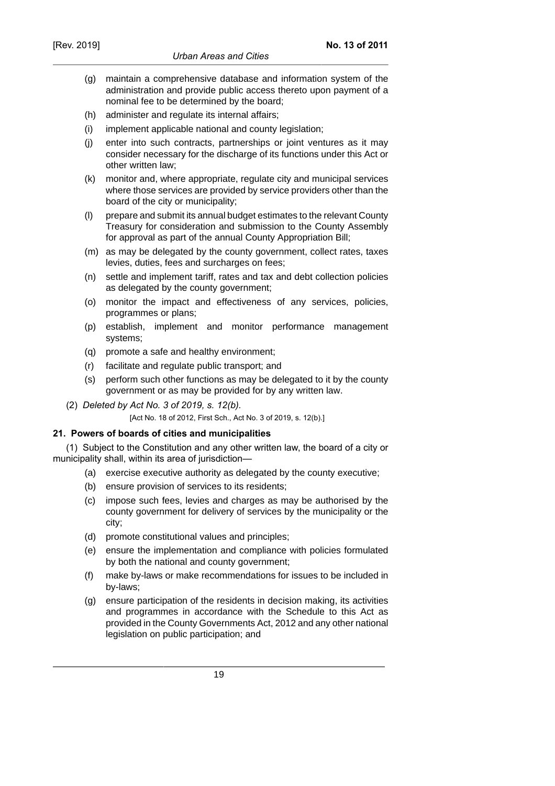- (g) maintain a comprehensive database and information system of the administration and provide public access thereto upon payment of a nominal fee to be determined by the board;
- (h) administer and regulate its internal affairs;
- (i) implement applicable national and county legislation;
- (j) enter into such contracts, partnerships or joint ventures as it may consider necessary for the discharge of its functions under this Act or other written law;
- (k) monitor and, where appropriate, regulate city and municipal services where those services are provided by service providers other than the board of the city or municipality;
- (l) prepare and submit its annual budget estimates to the relevant County Treasury for consideration and submission to the County Assembly for approval as part of the annual County Appropriation Bill;
- (m) as may be delegated by the county government, collect rates, taxes levies, duties, fees and surcharges on fees;
- (n) settle and implement tariff, rates and tax and debt collection policies as delegated by the county government;
- (o) monitor the impact and effectiveness of any services, policies, programmes or plans;
- (p) establish, implement and monitor performance management systems;
- (q) promote a safe and healthy environment;
- (r) facilitate and regulate public transport; and
- (s) perform such other functions as may be delegated to it by the county government or as may be provided for by any written law.
- (2) *Deleted by Act No. 3 of 2019, s. 12(b).*

[Act No. 18 of 2012, First Sch., Act No. 3 of 2019, s. 12(b).]

# **21. Powers of boards of cities and municipalities**

(1) Subject to the Constitution and any other written law, the board of a city or municipality shall, within its area of jurisdiction—

- (a) exercise executive authority as delegated by the county executive;
- (b) ensure provision of services to its residents;
- (c) impose such fees, levies and charges as may be authorised by the county government for delivery of services by the municipality or the city;
- (d) promote constitutional values and principles;
- (e) ensure the implementation and compliance with policies formulated by both the national and county government;
- (f) make by-laws or make recommendations for issues to be included in by-laws;
- (g) ensure participation of the residents in decision making, its activities and programmes in accordance with the Schedule to this Act as provided in the County Governments Act, 2012 and any other national legislation on public participation; and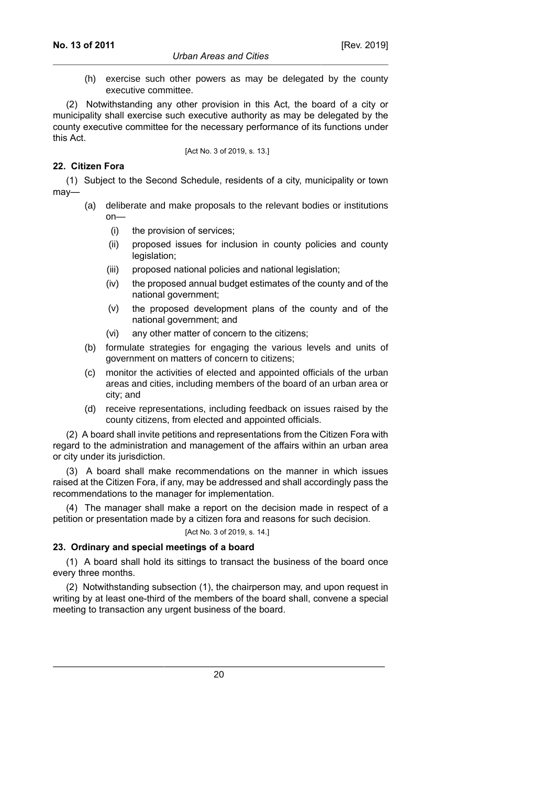(h) exercise such other powers as may be delegated by the county executive committee.

(2) Notwithstanding any other provision in this Act, the board of a city or municipality shall exercise such executive authority as may be delegated by the county executive committee for the necessary performance of its functions under this Act.

[Act No. 3 of 2019, s. 13.]

## **22. Citizen Fora**

(1) Subject to the Second Schedule, residents of a city, municipality or town may—

- (a) deliberate and make proposals to the relevant bodies or institutions on—
	- (i) the provision of services;
	- (ii) proposed issues for inclusion in county policies and county legislation;
	- (iii) proposed national policies and national legislation;
	- (iv) the proposed annual budget estimates of the county and of the national government;
	- (v) the proposed development plans of the county and of the national government; and
	- (vi) any other matter of concern to the citizens;
- (b) formulate strategies for engaging the various levels and units of government on matters of concern to citizens;
- (c) monitor the activities of elected and appointed officials of the urban areas and cities, including members of the board of an urban area or city; and
- (d) receive representations, including feedback on issues raised by the county citizens, from elected and appointed officials.

(2) A board shall invite petitions and representations from the Citizen Fora with regard to the administration and management of the affairs within an urban area or city under its jurisdiction.

(3) A board shall make recommendations on the manner in which issues raised at the Citizen Fora, if any, may be addressed and shall accordingly pass the recommendations to the manager for implementation.

(4) The manager shall make a report on the decision made in respect of a petition or presentation made by a citizen fora and reasons for such decision.

#### [Act No. 3 of 2019, s. 14.]

# **23. Ordinary and special meetings of a board**

(1) A board shall hold its sittings to transact the business of the board once every three months.

(2) Notwithstanding subsection (1), the chairperson may, and upon request in writing by at least one-third of the members of the board shall, convene a special meeting to transaction any urgent business of the board.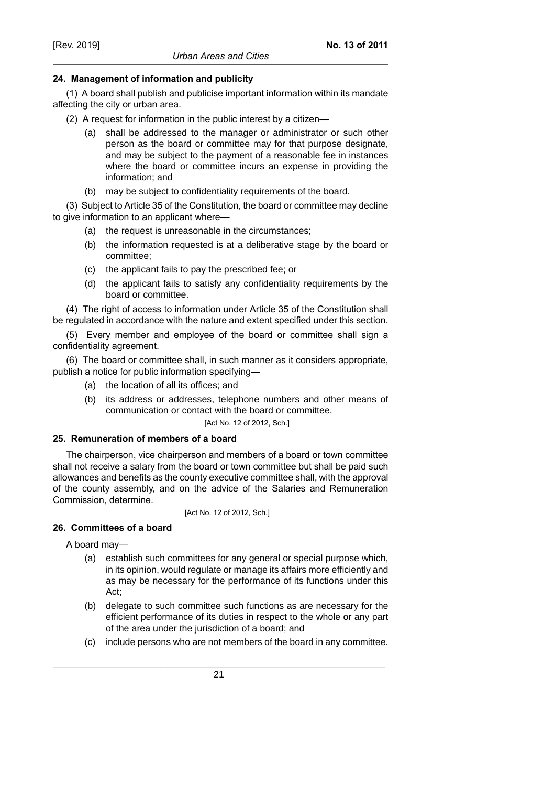# **24. Management of information and publicity**

(1) A board shall publish and publicise important information within its mandate affecting the city or urban area.

(2) A request for information in the public interest by a citizen—

- (a) shall be addressed to the manager or administrator or such other person as the board or committee may for that purpose designate, and may be subject to the payment of a reasonable fee in instances where the board or committee incurs an expense in providing the information; and
- (b) may be subject to confidentiality requirements of the board.

(3) Subject to Article 35 of the Constitution, the board or committee may decline to give information to an applicant where—

- (a) the request is unreasonable in the circumstances;
- (b) the information requested is at a deliberative stage by the board or committee;
- (c) the applicant fails to pay the prescribed fee; or
- (d) the applicant fails to satisfy any confidentiality requirements by the board or committee.

(4) The right of access to information under Article 35 of the Constitution shall be regulated in accordance with the nature and extent specified under this section.

(5) Every member and employee of the board or committee shall sign a confidentiality agreement.

(6) The board or committee shall, in such manner as it considers appropriate, publish a notice for public information specifying—

- (a) the location of all its offices; and
- (b) its address or addresses, telephone numbers and other means of communication or contact with the board or committee.

#### [Act No. 12 of 2012, Sch.]

# **25. Remuneration of members of a board**

The chairperson, vice chairperson and members of a board or town committee shall not receive a salary from the board or town committee but shall be paid such allowances and benefits as the county executive committee shall, with the approval of the county assembly, and on the advice of the Salaries and Remuneration Commission, determine.

[Act No. 12 of 2012, Sch.]

# **26. Committees of a board**

A board may—

- (a) establish such committees for any general or special purpose which, in its opinion, would regulate or manage its affairs more efficiently and as may be necessary for the performance of its functions under this Act;
- (b) delegate to such committee such functions as are necessary for the efficient performance of its duties in respect to the whole or any part of the area under the jurisdiction of a board; and
- (c) include persons who are not members of the board in any committee.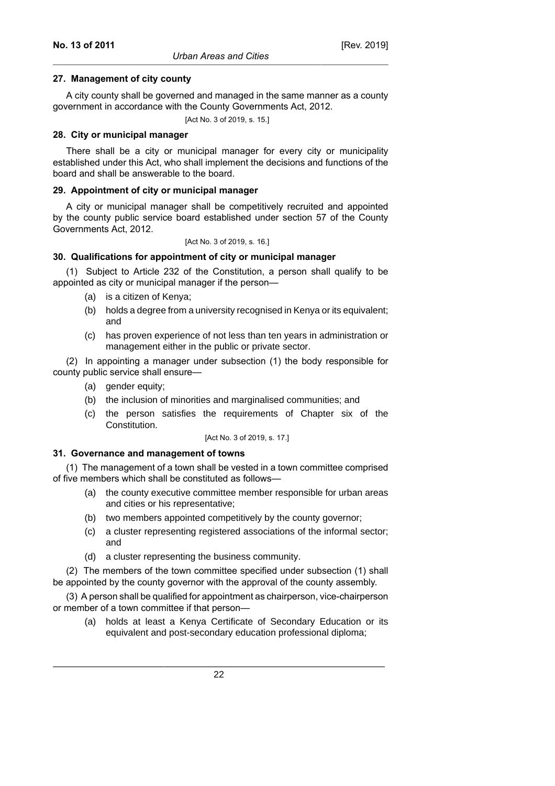#### **27. Management of city county**

A city county shall be governed and managed in the same manner as a county government in accordance with the County Governments Act, 2012.

[Act No. 3 of 2019, s. 15.]

## **28. City or municipal manager**

There shall be a city or municipal manager for every city or municipality established under this Act, who shall implement the decisions and functions of the board and shall be answerable to the board.

## **29. Appointment of city or municipal manager**

A city or municipal manager shall be competitively recruited and appointed by the county public service board established under section 57 of the County Governments Act, 2012.

[Act No. 3 of 2019, s. 16.]

## **30. Qualifications for appointment of city or municipal manager**

(1) Subject to Article 232 of the Constitution, a person shall qualify to be appointed as city or municipal manager if the person—

- (a) is a citizen of Kenya;
- (b) holds a degree from a university recognised in Kenya or its equivalent; and
- (c) has proven experience of not less than ten years in administration or management either in the public or private sector.

(2) In appointing a manager under subsection (1) the body responsible for county public service shall ensure—

- (a) gender equity;
- (b) the inclusion of minorities and marginalised communities; and
- (c) the person satisfies the requirements of Chapter six of the Constitution.

[Act No. 3 of 2019, s. 17.]

#### **31. Governance and management of towns**

(1) The management of a town shall be vested in a town committee comprised of five members which shall be constituted as follows—

- (a) the county executive committee member responsible for urban areas and cities or his representative;
- (b) two members appointed competitively by the county governor;
- (c) a cluster representing registered associations of the informal sector; and
- (d) a cluster representing the business community.

(2) The members of the town committee specified under subsection (1) shall be appointed by the county governor with the approval of the county assembly.

(3) A person shall be qualified for appointment as chairperson, vice-chairperson or member of a town committee if that person—

(a) holds at least a Kenya Certificate of Secondary Education or its equivalent and post-secondary education professional diploma;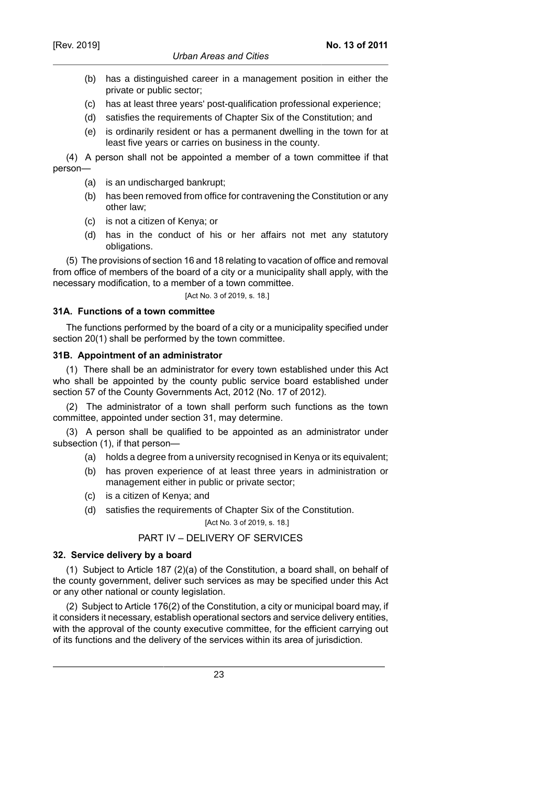- (b) has a distinguished career in a management position in either the private or public sector;
- (c) has at least three years' post-qualification professional experience;
- (d) satisfies the requirements of Chapter Six of the Constitution; and
- (e) is ordinarily resident or has a permanent dwelling in the town for at least five years or carries on business in the county.

(4) A person shall not be appointed a member of a town committee if that person—

- (a) is an undischarged bankrupt;
- (b) has been removed from office for contravening the Constitution or any other law;
- (c) is not a citizen of Kenya; or
- (d) has in the conduct of his or her affairs not met any statutory obligations.

(5) The provisions of section 16 and 18 relating to vacation of office and removal from office of members of the board of a city or a municipality shall apply, with the necessary modification, to a member of a town committee.

[Act No. 3 of 2019, s. 18.]

## **31A. Functions of a town committee**

The functions performed by the board of a city or a municipality specified under section 20(1) shall be performed by the town committee.

## **31B. Appointment of an administrator**

(1) There shall be an administrator for every town established under this Act who shall be appointed by the county public service board established under section 57 of the County Governments Act, 2012 (No. 17 of 2012).

(2) The administrator of a town shall perform such functions as the town committee, appointed under section 31, may determine.

(3) A person shall be qualified to be appointed as an administrator under subsection (1), if that person—

- (a) holds a degree from a university recognised in Kenya or its equivalent;
- (b) has proven experience of at least three years in administration or management either in public or private sector;
- (c) is a citizen of Kenya; and
- (d) satisfies the requirements of Chapter Six of the Constitution.

[Act No. 3 of 2019, s. 18.]

# PART IV – DELIVERY OF SERVICES

# **32. Service delivery by a board**

(1) Subject to Article 187 (2)(a) of the Constitution, a board shall, on behalf of the county government, deliver such services as may be specified under this Act or any other national or county legislation.

(2) Subject to Article 176(2) of the Constitution, a city or municipal board may, if it considers it necessary, establish operational sectors and service delivery entities, with the approval of the county executive committee, for the efficient carrying out of its functions and the delivery of the services within its area of jurisdiction.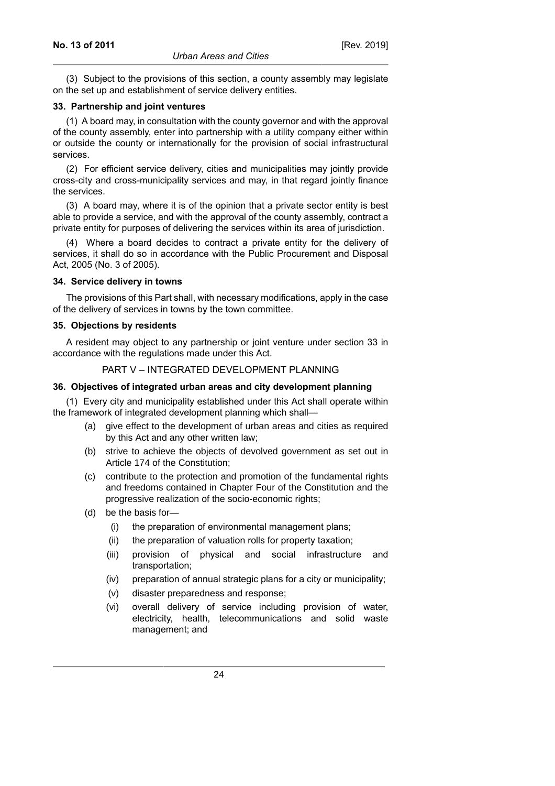(3) Subject to the provisions of this section, a county assembly may legislate on the set up and establishment of service delivery entities.

#### **33. Partnership and joint ventures**

(1) A board may, in consultation with the county governor and with the approval of the county assembly, enter into partnership with a utility company either within or outside the county or internationally for the provision of social infrastructural services.

(2) For efficient service delivery, cities and municipalities may jointly provide cross-city and cross-municipality services and may, in that regard jointly finance the services.

(3) A board may, where it is of the opinion that a private sector entity is best able to provide a service, and with the approval of the county assembly, contract a private entity for purposes of delivering the services within its area of jurisdiction.

(4) Where a board decides to contract a private entity for the delivery of services, it shall do so in accordance with the Public Procurement and Disposal Act, 2005 (No. 3 of 2005).

## **34. Service delivery in towns**

The provisions of this Part shall, with necessary modifications, apply in the case of the delivery of services in towns by the town committee.

## **35. Objections by residents**

A resident may object to any partnership or joint venture under section 33 in accordance with the regulations made under this Act.

## PART V – INTEGRATED DEVELOPMENT PLANNING

#### **36. Objectives of integrated urban areas and city development planning**

(1) Every city and municipality established under this Act shall operate within the framework of integrated development planning which shall—

- (a) give effect to the development of urban areas and cities as required by this Act and any other written law;
- (b) strive to achieve the objects of devolved government as set out in Article 174 of the Constitution;
- (c) contribute to the protection and promotion of the fundamental rights and freedoms contained in Chapter Four of the Constitution and the progressive realization of the socio-economic rights;
- (d) be the basis for—
	- (i) the preparation of environmental management plans;
	- (ii) the preparation of valuation rolls for property taxation;
	- (iii) provision of physical and social infrastructure and transportation;
	- (iv) preparation of annual strategic plans for a city or municipality;
	- (v) disaster preparedness and response;
	- (vi) overall delivery of service including provision of water, electricity, health, telecommunications and solid waste management; and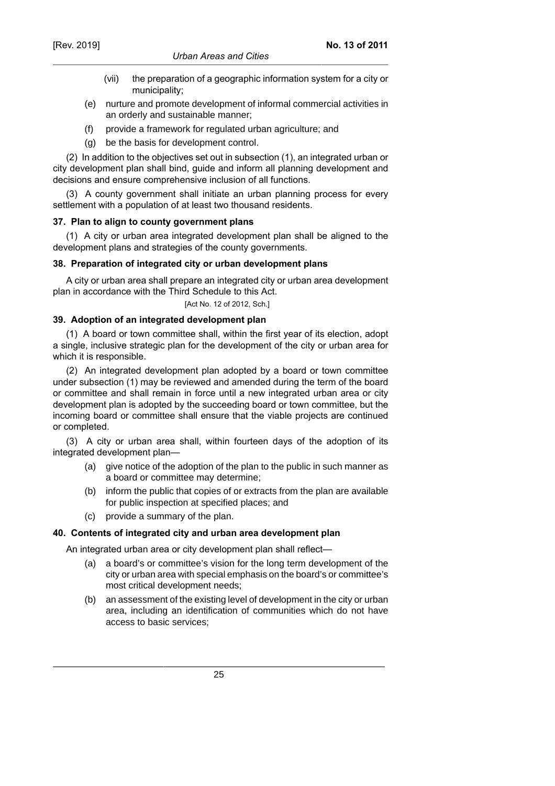- (vii) the preparation of a geographic information system for a city or municipality;
- (e) nurture and promote development of informal commercial activities in an orderly and sustainable manner;
- (f) provide a framework for regulated urban agriculture; and
- (g) be the basis for development control.

(2) In addition to the objectives set out in subsection (1), an integrated urban or city development plan shall bind, guide and inform all planning development and decisions and ensure comprehensive inclusion of all functions.

(3) A county government shall initiate an urban planning process for every settlement with a population of at least two thousand residents.

## **37. Plan to align to county government plans**

(1) A city or urban area integrated development plan shall be aligned to the development plans and strategies of the county governments.

## **38. Preparation of integrated city or urban development plans**

A city or urban area shall prepare an integrated city or urban area development plan in accordance with the Third Schedule to this Act.

[Act No. 12 of 2012, Sch.]

## **39. Adoption of an integrated development plan**

(1) A board or town committee shall, within the first year of its election, adopt a single, inclusive strategic plan for the development of the city or urban area for which it is responsible.

(2) An integrated development plan adopted by a board or town committee under subsection (1) may be reviewed and amended during the term of the board or committee and shall remain in force until a new integrated urban area or city development plan is adopted by the succeeding board or town committee, but the incoming board or committee shall ensure that the viable projects are continued or completed.

(3) A city or urban area shall, within fourteen days of the adoption of its integrated development plan—

- (a) give notice of the adoption of the plan to the public in such manner as a board or committee may determine;
- (b) inform the public that copies of or extracts from the plan are available for public inspection at specified places; and
- (c) provide a summary of the plan.

# **40. Contents of integrated city and urban area development plan**

An integrated urban area or city development plan shall reflect—

- (a) a board's or committee's vision for the long term development of the city or urban area with special emphasis on the board's or committee's most critical development needs;
- (b) an assessment of the existing level of development in the city or urban area, including an identification of communities which do not have access to basic services;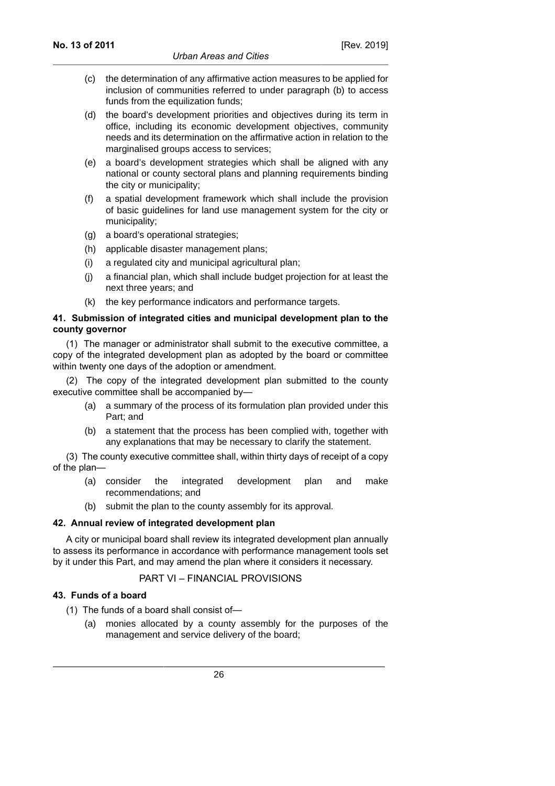- (c) the determination of any affirmative action measures to be applied for inclusion of communities referred to under paragraph (b) to access funds from the equilization funds:
- (d) the board's development priorities and objectives during its term in office, including its economic development objectives, community needs and its determination on the affirmative action in relation to the marginalised groups access to services;
- (e) a board's development strategies which shall be aligned with any national or county sectoral plans and planning requirements binding the city or municipality;
- (f) a spatial development framework which shall include the provision of basic guidelines for land use management system for the city or municipality;
- (g) a board's operational strategies;
- (h) applicable disaster management plans;
- (i) a regulated city and municipal agricultural plan;
- (j) a financial plan, which shall include budget projection for at least the next three years; and
- (k) the key performance indicators and performance targets.

#### **41. Submission of integrated cities and municipal development plan to the county governor**

(1) The manager or administrator shall submit to the executive committee, a copy of the integrated development plan as adopted by the board or committee within twenty one days of the adoption or amendment.

(2) The copy of the integrated development plan submitted to the county executive committee shall be accompanied by—

- (a) a summary of the process of its formulation plan provided under this Part; and
- (b) a statement that the process has been complied with, together with any explanations that may be necessary to clarify the statement.

(3) The county executive committee shall, within thirty days of receipt of a copy of the plan—

- (a) consider the integrated development plan and make recommendations; and
- (b) submit the plan to the county assembly for its approval.

#### **42. Annual review of integrated development plan**

A city or municipal board shall review its integrated development plan annually to assess its performance in accordance with performance management tools set by it under this Part, and may amend the plan where it considers it necessary.

# PART VI – FINANCIAL PROVISIONS

#### **43. Funds of a board**

- (1) The funds of a board shall consist of—
	- (a) monies allocated by a county assembly for the purposes of the management and service delivery of the board;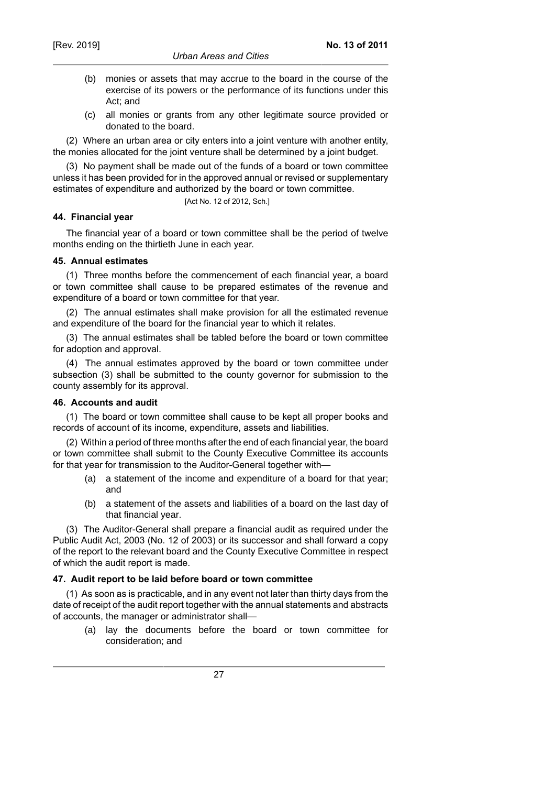- (b) monies or assets that may accrue to the board in the course of the exercise of its powers or the performance of its functions under this Act; and
- (c) all monies or grants from any other legitimate source provided or donated to the board.

(2) Where an urban area or city enters into a joint venture with another entity, the monies allocated for the joint venture shall be determined by a joint budget.

(3) No payment shall be made out of the funds of a board or town committee unless it has been provided for in the approved annual or revised or supplementary estimates of expenditure and authorized by the board or town committee.

[Act No. 12 of 2012, Sch.]

## **44. Financial year**

The financial year of a board or town committee shall be the period of twelve months ending on the thirtieth June in each year.

## **45. Annual estimates**

(1) Three months before the commencement of each financial year, a board or town committee shall cause to be prepared estimates of the revenue and expenditure of a board or town committee for that year.

(2) The annual estimates shall make provision for all the estimated revenue and expenditure of the board for the financial year to which it relates.

(3) The annual estimates shall be tabled before the board or town committee for adoption and approval.

(4) The annual estimates approved by the board or town committee under subsection (3) shall be submitted to the county governor for submission to the county assembly for its approval.

#### **46. Accounts and audit**

(1) The board or town committee shall cause to be kept all proper books and records of account of its income, expenditure, assets and liabilities.

(2) Within a period of three months after the end of each financial year, the board or town committee shall submit to the County Executive Committee its accounts for that year for transmission to the Auditor-General together with—

- (a) a statement of the income and expenditure of a board for that year; and
- (b) a statement of the assets and liabilities of a board on the last day of that financial year.

(3) The Auditor-General shall prepare a financial audit as required under the Public Audit Act, 2003 (No. 12 of 2003) or its successor and shall forward a copy of the report to the relevant board and the County Executive Committee in respect of which the audit report is made.

# **47. Audit report to be laid before board or town committee**

(1) As soon as is practicable, and in any event not later than thirty days from the date of receipt of the audit report together with the annual statements and abstracts of accounts, the manager or administrator shall—

(a) lay the documents before the board or town committee for consideration; and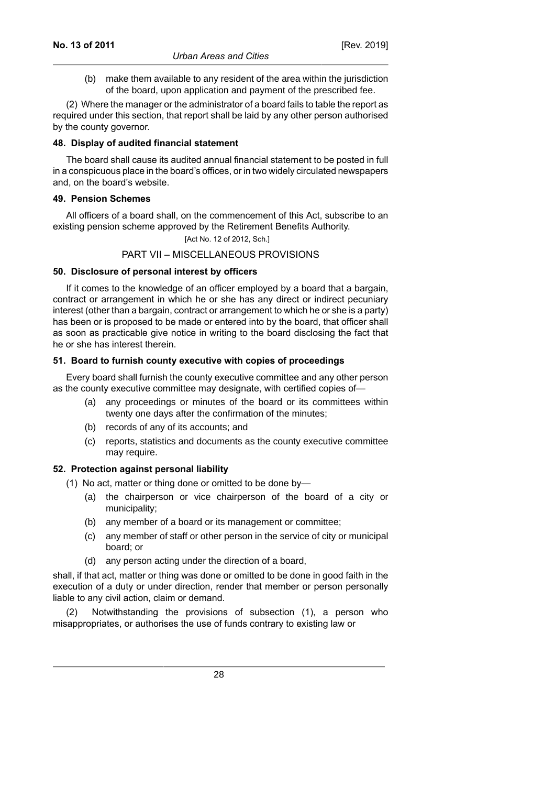(b) make them available to any resident of the area within the jurisdiction of the board, upon application and payment of the prescribed fee.

(2) Where the manager or the administrator of a board fails to table the report as required under this section, that report shall be laid by any other person authorised by the county governor.

#### **48. Display of audited financial statement**

The board shall cause its audited annual financial statement to be posted in full in a conspicuous place in the board's offices, or in two widely circulated newspapers and, on the board's website.

## **49. Pension Schemes**

All officers of a board shall, on the commencement of this Act, subscribe to an existing pension scheme approved by the Retirement Benefits Authority.

[Act No. 12 of 2012, Sch.]

# PART VII – MISCELLANEOUS PROVISIONS

## **50. Disclosure of personal interest by officers**

If it comes to the knowledge of an officer employed by a board that a bargain, contract or arrangement in which he or she has any direct or indirect pecuniary interest (other than a bargain, contract or arrangement to which he or she is a party) has been or is proposed to be made or entered into by the board, that officer shall as soon as practicable give notice in writing to the board disclosing the fact that he or she has interest therein.

## **51. Board to furnish county executive with copies of proceedings**

Every board shall furnish the county executive committee and any other person as the county executive committee may designate, with certified copies of—

- (a) any proceedings or minutes of the board or its committees within twenty one days after the confirmation of the minutes;
- (b) records of any of its accounts; and
- (c) reports, statistics and documents as the county executive committee may require.

# **52. Protection against personal liability**

- (1) No act, matter or thing done or omitted to be done by—
	- (a) the chairperson or vice chairperson of the board of a city or municipality;
	- (b) any member of a board or its management or committee;
	- (c) any member of staff or other person in the service of city or municipal board; or
	- (d) any person acting under the direction of a board,

shall, if that act, matter or thing was done or omitted to be done in good faith in the execution of a duty or under direction, render that member or person personally liable to any civil action, claim or demand.

(2) Notwithstanding the provisions of subsection (1), a person who misappropriates, or authorises the use of funds contrary to existing law or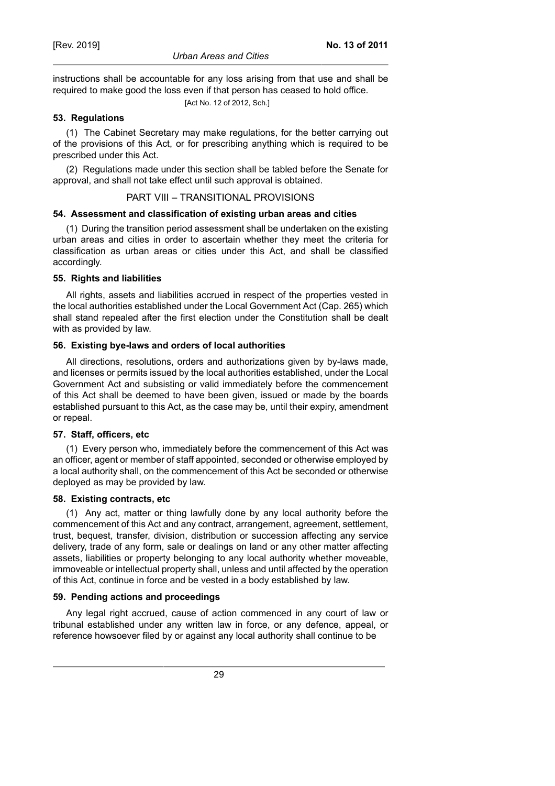instructions shall be accountable for any loss arising from that use and shall be required to make good the loss even if that person has ceased to hold office.

[Act No. 12 of 2012, Sch.]

# **53. Regulations**

(1) The Cabinet Secretary may make regulations, for the better carrying out of the provisions of this Act, or for prescribing anything which is required to be prescribed under this Act.

(2) Regulations made under this section shall be tabled before the Senate for approval, and shall not take effect until such approval is obtained.

#### PART VIII – TRANSITIONAL PROVISIONS

## **54. Assessment and classification of existing urban areas and cities**

(1) During the transition period assessment shall be undertaken on the existing urban areas and cities in order to ascertain whether they meet the criteria for classification as urban areas or cities under this Act, and shall be classified accordingly.

## **55. Rights and liabilities**

All rights, assets and liabilities accrued in respect of the properties vested in the local authorities established under the Local Government Act (Cap. 265) which shall stand repealed after the first election under the Constitution shall be dealt with as provided by law.

## **56. Existing bye-laws and orders of local authorities**

All directions, resolutions, orders and authorizations given by by-laws made, and licenses or permits issued by the local authorities established, under the Local Government Act and subsisting or valid immediately before the commencement of this Act shall be deemed to have been given, issued or made by the boards established pursuant to this Act, as the case may be, until their expiry, amendment or repeal.

# **57. Staff, officers, etc**

(1) Every person who, immediately before the commencement of this Act was an officer, agent or member of staff appointed, seconded or otherwise employed by a local authority shall, on the commencement of this Act be seconded or otherwise deployed as may be provided by law.

#### **58. Existing contracts, etc**

(1) Any act, matter or thing lawfully done by any local authority before the commencement of this Act and any contract, arrangement, agreement, settlement, trust, bequest, transfer, division, distribution or succession affecting any service delivery, trade of any form, sale or dealings on land or any other matter affecting assets, liabilities or property belonging to any local authority whether moveable, immoveable or intellectual property shall, unless and until affected by the operation of this Act, continue in force and be vested in a body established by law.

#### **59. Pending actions and proceedings**

Any legal right accrued, cause of action commenced in any court of law or tribunal established under any written law in force, or any defence, appeal, or reference howsoever filed by or against any local authority shall continue to be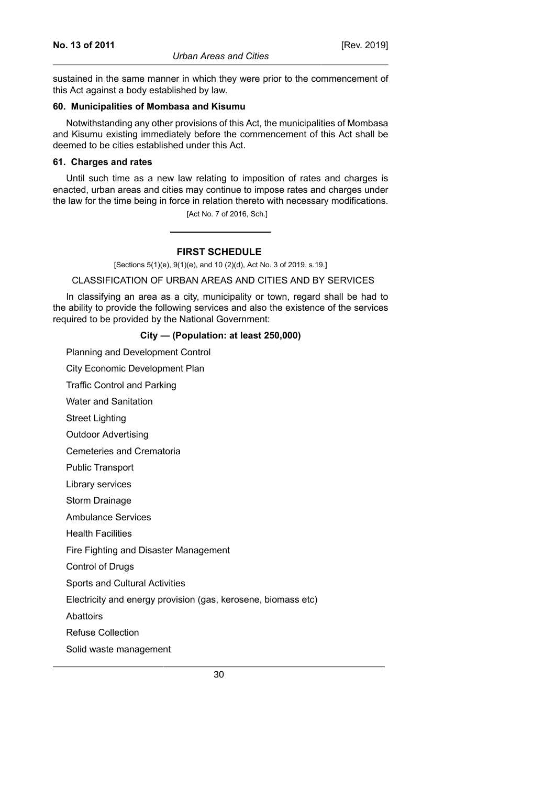sustained in the same manner in which they were prior to the commencement of this Act against a body established by law.

#### **60. Municipalities of Mombasa and Kisumu**

Notwithstanding any other provisions of this Act, the municipalities of Mombasa and Kisumu existing immediately before the commencement of this Act shall be deemed to be cities established under this Act.

#### **61. Charges and rates**

Until such time as a new law relating to imposition of rates and charges is enacted, urban areas and cities may continue to impose rates and charges under the law for the time being in force in relation thereto with necessary modifications.

[Act No. 7 of 2016, Sch.]

#### **FIRST SCHEDULE**

[Sections 5(1)(e), 9(1)(e), and 10 (2)(d), Act No. 3 of 2019, s.19.]

#### CLASSIFICATION OF URBAN AREAS AND CITIES AND BY SERVICES

In classifying an area as a city, municipality or town, regard shall be had to the ability to provide the following services and also the existence of the services required to be provided by the National Government:

#### **City — (Population: at least 250,000)**

Planning and Development Control

City Economic Development Plan

Traffic Control and Parking

Water and Sanitation

Street Lighting

Outdoor Advertising

Cemeteries and Crematoria

Public Transport

Library services

Storm Drainage

Ambulance Services

Health Facilities

Fire Fighting and Disaster Management

Control of Drugs

Sports and Cultural Activities

Electricity and energy provision (gas, kerosene, biomass etc)

**Abattoirs** 

Refuse Collection

Solid waste management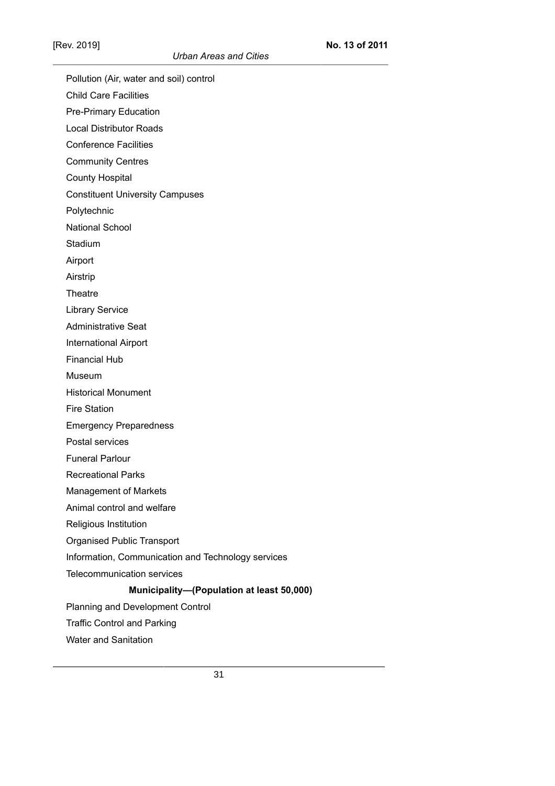Pollution (Air, water and soil) control Child Care Facilities Pre-Primary Education Local Distributor Roads Conference Facilities Community Centres County Hospital Constituent University Campuses Polytechnic National School **Stadium** Airport Airstrip **Theatre** Library Service Administrative Seat International Airport Financial Hub Museum Historical Monument Fire Station Emergency Preparedness Postal services Funeral Parlour Recreational Parks Management of Markets Animal control and welfare Religious Institution Organised Public Transport Information, Communication and Technology services Telecommunication services **Municipality—(Population at least 50,000)** Planning and Development Control Traffic Control and Parking

Water and Sanitation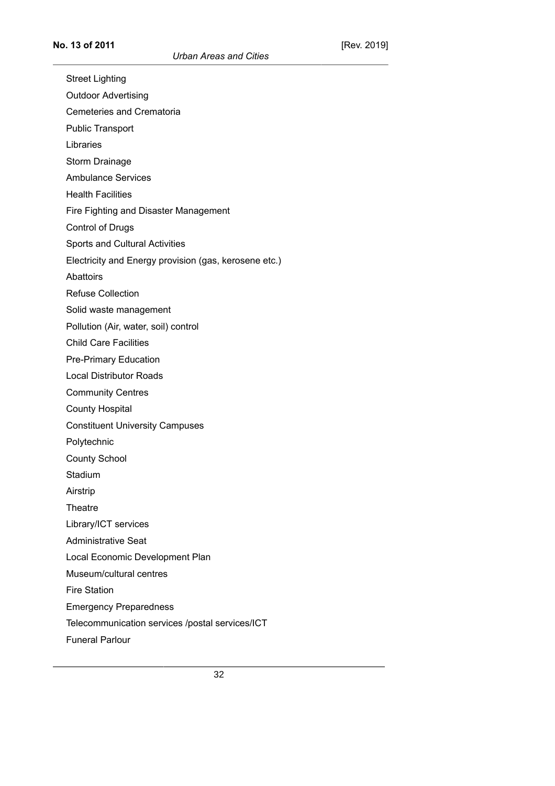Street Lighting Outdoor Advertising Cemeteries and Crematoria Public Transport Libraries Storm Drainage Ambulance Services Health Facilities Fire Fighting and Disaster Management Control of Drugs Sports and Cultural Activities Electricity and Energy provision (gas, kerosene etc.) Abattoirs Refuse Collection Solid waste management Pollution (Air, water, soil) control Child Care Facilities Pre-Primary Education Local Distributor Roads Community Centres County Hospital Constituent University Campuses Polytechnic County School Stadium Airstrip **Theatre** Library/ICT services Administrative Seat Local Economic Development Plan Museum/cultural centres Fire Station Emergency Preparedness Telecommunication services /postal services/ICT

Funeral Parlour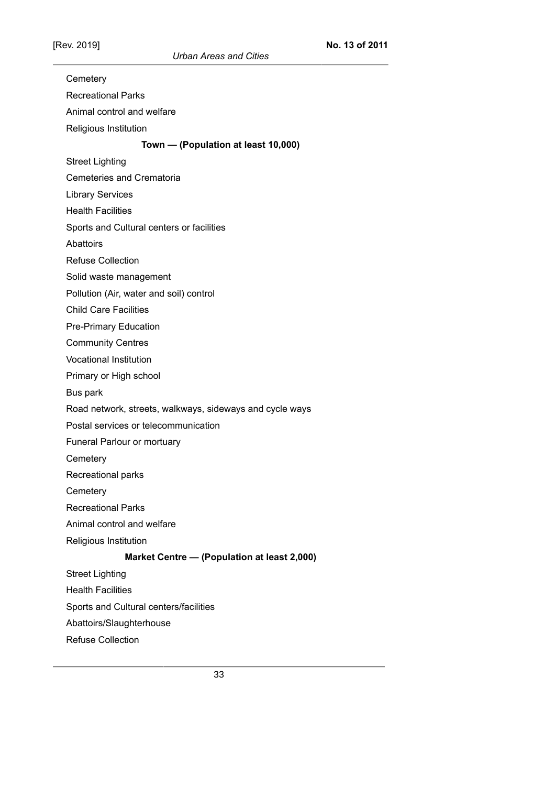*Urban Areas and Cities*

| Cemetery                                                 |
|----------------------------------------------------------|
| <b>Recreational Parks</b>                                |
| Animal control and welfare                               |
| Religious Institution                                    |
| Town - (Population at least 10,000)                      |
| <b>Street Lighting</b>                                   |
| <b>Cemeteries and Crematoria</b>                         |
| <b>Library Services</b>                                  |
| <b>Health Facilities</b>                                 |
| Sports and Cultural centers or facilities                |
| Abattoirs                                                |
| <b>Refuse Collection</b>                                 |
| Solid waste management                                   |
| Pollution (Air, water and soil) control                  |
| <b>Child Care Facilities</b>                             |
| <b>Pre-Primary Education</b>                             |
| <b>Community Centres</b>                                 |
| <b>Vocational Institution</b>                            |
| Primary or High school                                   |
| Bus park                                                 |
| Road network, streets, walkways, sideways and cycle ways |
| Postal services or telecommunication                     |
| Funeral Parlour or mortuary                              |
| Cemetery                                                 |
| Recreational parks                                       |
| Cemetery                                                 |
| <b>Recreational Parks</b>                                |
| Animal control and welfare                               |
| Religious Institution                                    |
| Market Centre - (Population at least 2,000)              |
| <b>Street Lighting</b>                                   |
| <b>Health Facilities</b>                                 |
| Sports and Cultural centers/facilities                   |
| Abattoirs/Slaughterhouse                                 |
| <b>Refuse Collection</b>                                 |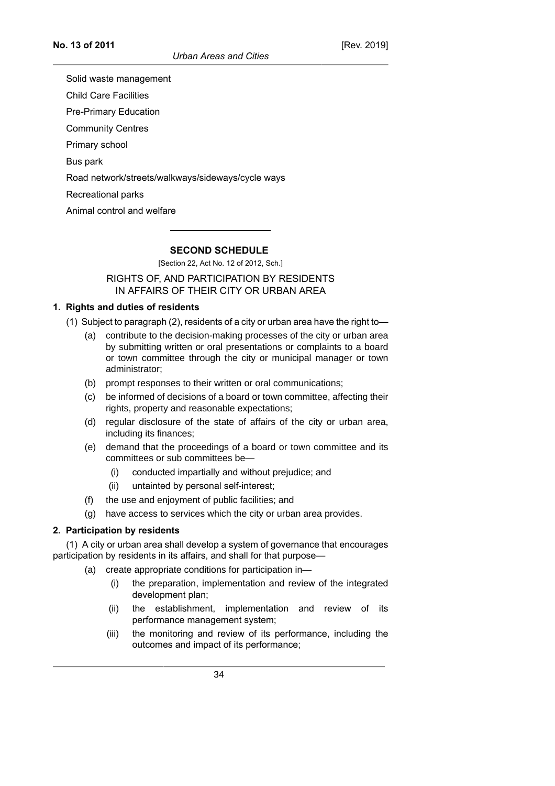Solid waste management

Child Care Facilities

Pre-Primary Education

Community Centres

Primary school

Bus park

Road network/streets/walkways/sideways/cycle ways

Recreational parks

Animal control and welfare

## **SECOND SCHEDULE**

[Section 22, Act No. 12 of 2012, Sch.]

## RIGHTS OF, AND PARTICIPATION BY RESIDENTS IN AFFAIRS OF THEIR CITY OR URBAN AREA

## **1. Rights and duties of residents**

(1) Subject to paragraph (2), residents of a city or urban area have the right to—

- (a) contribute to the decision-making processes of the city or urban area by submitting written or oral presentations or complaints to a board or town committee through the city or municipal manager or town administrator;
- (b) prompt responses to their written or oral communications;
- (c) be informed of decisions of a board or town committee, affecting their rights, property and reasonable expectations;
- (d) regular disclosure of the state of affairs of the city or urban area, including its finances;
- (e) demand that the proceedings of a board or town committee and its committees or sub committees be—
	- (i) conducted impartially and without prejudice; and
	- (ii) untainted by personal self-interest;
- (f) the use and enjoyment of public facilities; and
- (g) have access to services which the city or urban area provides.

# **2. Participation by residents**

(1) A city or urban area shall develop a system of governance that encourages participation by residents in its affairs, and shall for that purpose—

- (a) create appropriate conditions for participation in—
	- (i) the preparation, implementation and review of the integrated development plan;
	- (ii) the establishment, implementation and review of its performance management system;
	- (iii) the monitoring and review of its performance, including the outcomes and impact of its performance;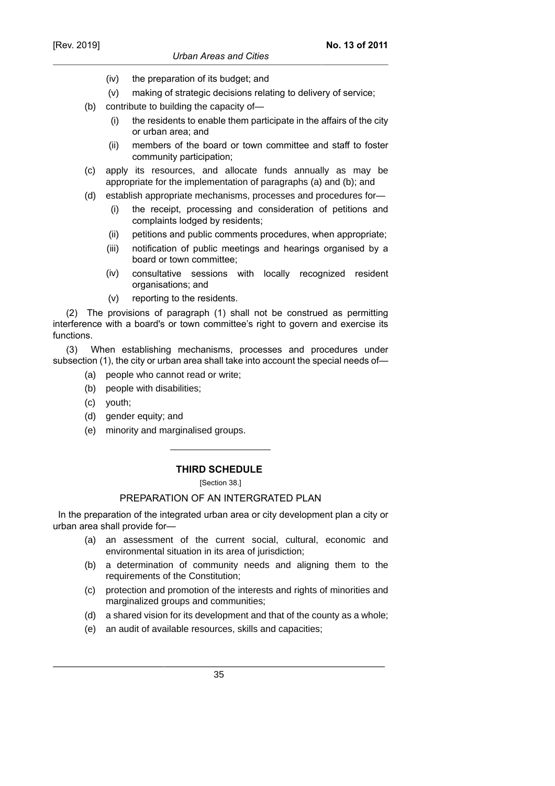- (iv) the preparation of its budget; and
- (v) making of strategic decisions relating to delivery of service;
- (b) contribute to building the capacity of—
	- (i) the residents to enable them participate in the affairs of the city or urban area; and
	- (ii) members of the board or town committee and staff to foster community participation;
- (c) apply its resources, and allocate funds annually as may be appropriate for the implementation of paragraphs (a) and (b); and
- (d) establish appropriate mechanisms, processes and procedures for—
	- (i) the receipt, processing and consideration of petitions and complaints lodged by residents;
	- (ii) petitions and public comments procedures, when appropriate;
	- (iii) notification of public meetings and hearings organised by a board or town committee;
	- (iv) consultative sessions with locally recognized resident organisations; and
	- (v) reporting to the residents.

(2) The provisions of paragraph (1) shall not be construed as permitting interference with a board's or town committee's right to govern and exercise its functions.

(3) When establishing mechanisms, processes and procedures under subsection (1), the city or urban area shall take into account the special needs of—

- (a) people who cannot read or write;
- (b) people with disabilities;
- (c) youth;
- (d) gender equity; and
- (e) minority and marginalised groups.

# **THIRD SCHEDULE**

[Section 38.]

## PREPARATION OF AN INTERGRATED PLAN

 In the preparation of the integrated urban area or city development plan a city or urban area shall provide for—

- (a) an assessment of the current social, cultural, economic and environmental situation in its area of jurisdiction;
- (b) a determination of community needs and aligning them to the requirements of the Constitution;
- (c) protection and promotion of the interests and rights of minorities and marginalized groups and communities;
- (d) a shared vision for its development and that of the county as a whole;
- (e) an audit of available resources, skills and capacities;